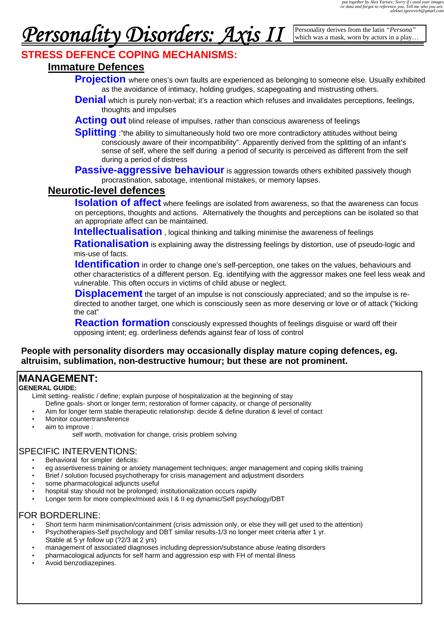Personality derives from the latin *"Persona"*  which was a mask, worn by actors in a play...

#### **STRESS DEFENCE COPING MECHANISMS:**

*Personality Disorders: Axis II* 

#### **Immature Defences**

- **Projection** where ones's own faults are experienced as belonging to someone else. Usually exhibited as the avoidance of intimacy, holding grudges, scapegoating and mistrusting others.
- **Denial** which is purely non-verbal; it's a reaction which refuses and invalidates perceptions, feelings, thoughts and impulses
- **Acting out** blind release of impulses, rather than conscious awareness of feelings
- **Splitting** :"the ability to simultaneously hold two ore more contradictory attitudes without being consciously aware of their incompatibility". Apparently derived from the splitting of an infant's sense of self, where the self during a period of security is perceived as different from the self during a period of distress

**Passive-aggressive behaviour** is aggression towards others exhibited passively though

procrastination, sabotage, intentional mistakes, or memory lapses.

#### **Neurotic-level defences**

**Isolation of affect** where feelings are isolated from awareness, so that the awareness can focus on perceptions, thoughts and actions. Alternatively the thoughts and perceptions can be isolated so that an appropriate affect can be maintained.

**Intellectualisation**, logical thinking and talking minimise the awareness of feelings

**Rationalisation** is explaining away the distressing feelings by distortion, use of pseudo-logic and mis-use of facts.

**Identification** in order to change one's self-perception, one takes on the values, behaviours and other characteristics of a different person. Eg. identifying with the aggressor makes one feel less weak and vulnerable. This often occurs in victims of child abuse or neglect.

**Displacement** the target of an impulse is not consciously appreciated; and so the impulse is redirected to another target, one which is consciously seen as more deserving or love or of attack ("kicking the cat"

**Reaction formation** consciously expressed thoughts of feelings disguise or ward off their opposing intent; eg. orderliness defends against fear of loss of control

#### **People with personality disorders may occasionally display mature coping defences, eg. altruisim, sublimation, non-destructive humour; but these are not prominent.**

#### **MANAGEMENT:**

**v**<br><br>
<br>
<br>
<br>
<br>
<br> **GENERAL GUIDE:** 

Limit setting- realistic / define; explain purpose of hospitalization at the beginning of stay

- Define goals- short or longer term; restoration of former capacity, or change of personality
- Aim for longer term stable therapeutic relationship: decide & define duration & level of contact
- Monitor countertransference
- aim to improve :

self worth, motivation for change, crisis problem solving

### **SEIT WOTER, MOUVALION**<br>
SPECIFIC INTERVENTIONS:

- Behavioral for simpler deficits:
- eg assertiveness training or anxiety management techniques; anger management and coping skills training
- Brief / solution focused psychotherapy for crisis management and adjustment disorders
- some pharmacological adjuncts useful
- hospital stay should not be prolonged; institutionalization occurs rapidly
- Longer term for more complex/mixed axis I & II eg dynamic/Self psychology/DBT

#### FOR BORDERLINE:

- Short term harm minimisation/containment (crisis admission only, or else they will get used to the attention)
- Psychotherapies-Self psychology and DBT similar results-1/3 no longer meet criteria after 1 yr. Stable at 5 yr follow up (?2/3 at 2 yrs)
- management of associated diagnoses including depression/substance abuse /eating disorders
- pharmacological adjuncts for self harm and aggression esp with FH of mental illness
- Avoid benzodiazepines.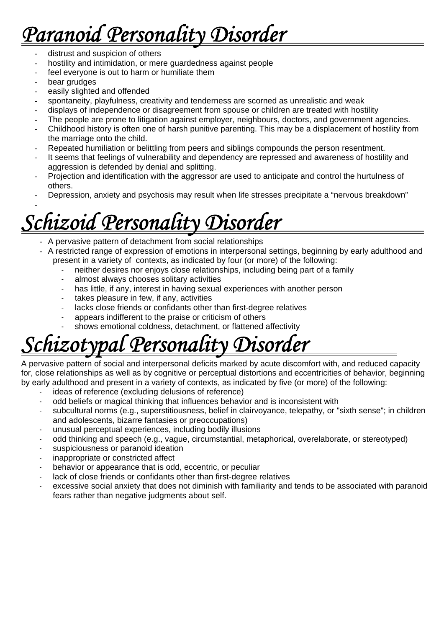### *Paranoid Personality Disorder*

- distrust and suspicion of others
- hostility and intimidation, or mere guardedness against people
- feel everyone is out to harm or humiliate them
- bear grudges
- easily slighted and offended
- spontaneity, playfulness, creativity and tenderness are scorned as unrealistic and weak
- displays of independence or disagreement from spouse or children are treated with hostility
- The people are prone to litigation against employer, neighbours, doctors, and government agencies.
- Childhood history is often one of harsh punitive parenting. This may be a displacement of hostility from the marriage onto the child.
- Repeated humiliation or belittling from peers and siblings compounds the person resentment.
- It seems that feelings of vulnerability and dependency are repressed and awareness of hostility and aggression is defended by denial and splitting.
- Projection and identification with the aggressor are used to anticipate and control the hurtulness of others.
- Depression, anxiety and psychosis may result when life stresses precipitate a "nervous breakdown"

#### - *Schizoid Personality Disorder*

- A pervasive pattern of detachment from social relationships
- A restricted range of expression of emotions in interpersonal settings, beginning by early adulthood and present in a variety of contexts, as indicated by four (or more) of the following:
	- neither desires nor enjoys close relationships, including being part of a family
	- almost always chooses solitary activities
	- has little, if any, interest in having sexual experiences with another person
	- takes pleasure in few, if any, activities
	- lacks close friends or confidants other than first-degree relatives
	- appears indifferent to the praise or criticism of others
	- shows emotional coldness, detachment, or flattened affectivity

## *Schizotypal Personality Disorder*

A pervasive pattern of social and interpersonal deficits marked by acute discomfort with, and reduced capacity for, close relationships as well as by cognitive or perceptual distortions and eccentricities of behavior, beginning by early adulthood and present in a variety of contexts, as indicated by five (or more) of the following:

- ideas of reference (excluding delusions of reference)
- odd beliefs or magical thinking that influences behavior and is inconsistent with
- subcultural norms (e.g., superstitiousness, belief in clairvoyance, telepathy, or "sixth sense"; in children and adolescents, bizarre fantasies or preoccupations)
- unusual perceptual experiences, including bodily illusions
- odd thinking and speech (e.g., vague, circumstantial, metaphorical, overelaborate, or stereotyped)
- suspiciousness or paranoid ideation
- inappropriate or constricted affect
- behavior or appearance that is odd, eccentric, or peculiar
- lack of close friends or confidants other than first-degree relatives
- excessive social anxiety that does not diminish with familiarity and tends to be associated with paranoid fears rather than negative judgments about self.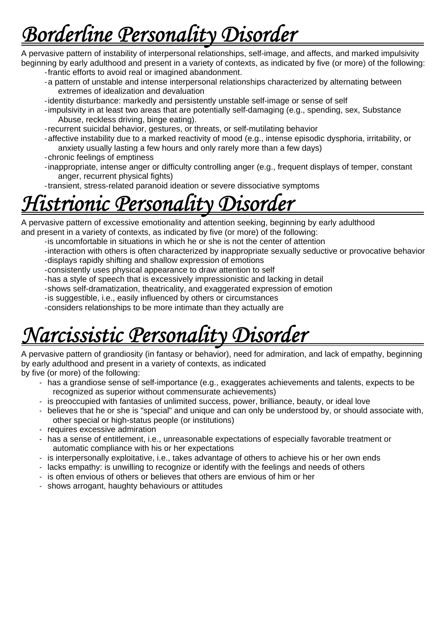## *Borderline Personality Disorder*

A pervasive pattern of instability of interpersonal relationships, self-image, and affects, and marked impulsivity beginning by early adulthood and present in a variety of contexts, as indicated by five (or more) of the following:

- frantic efforts to avoid real or imagined abandonment. - a pattern of unstable and intense interpersonal relationships characterized by alternating between
- extremes of idealization and devaluation
- identity disturbance: markedly and persistently unstable self-image or sense of self
- impulsivity in at least two areas that are potentially self-damaging (e.g., spending, sex, Substance Abuse, reckless driving, binge eating).
- recurrent suicidal behavior, gestures, or threats, or self-mutilating behavior
- affective instability due to a marked reactivity of mood (e.g., intense episodic dysphoria, irritability, or anxiety usually lasting a few hours and only rarely more than a few days)
- chronic feelings of emptiness
- inappropriate, intense anger or difficulty controlling anger (e.g., frequent displays of temper, constant anger, recurrent physical fights)
- transient, stress-related paranoid ideation or severe dissociative symptoms

### *Histrionic Personality Disorder*

A pervasive pattern of excessive emotionality and attention seeking, beginning by early adulthood and present in a variety of contexts, as indicated by five (or more) of the following:

- is uncomfortable in situations in which he or she is not the center of attention
- interaction with others is often characterized by inappropriate sexually seductive or provocative behavior
- displays rapidly shifting and shallow expression of emotions
- consistently uses physical appearance to draw attention to self
- has a style of speech that is excessively impressionistic and lacking in detail
- shows self-dramatization, theatricality, and exaggerated expression of emotion
- is suggestible, i.e., easily influenced by others or circumstances
- considers relationships to be more intimate than they actually are

### *Narcissistic Personality Disorder*

A pervasive pattern of grandiosity (in fantasy or behavior), need for admiration, and lack of empathy, beginning by early adulthood and present in a variety of contexts, as indicated

by five (or more) of the following:

- has a grandiose sense of self-importance (e.g., exaggerates achievements and talents, expects to be recognized as superior without commensurate achievements)
- is preoccupied with fantasies of unlimited success, power, brilliance, beauty, or ideal love
- believes that he or she is "special" and unique and can only be understood by, or should associate with, other special or high-status people (or institutions)
- requires excessive admiration
- has a sense of entitlement, i.e., unreasonable expectations of especially favorable treatment or automatic compliance with his or her expectations
- is interpersonally exploitative, i.e., takes advantage of others to achieve his or her own ends
- lacks empathy: is unwilling to recognize or identify with the feelings and needs of others
- is often envious of others or believes that others are envious of him or her
- shows arrogant, haughty behaviours or attitudes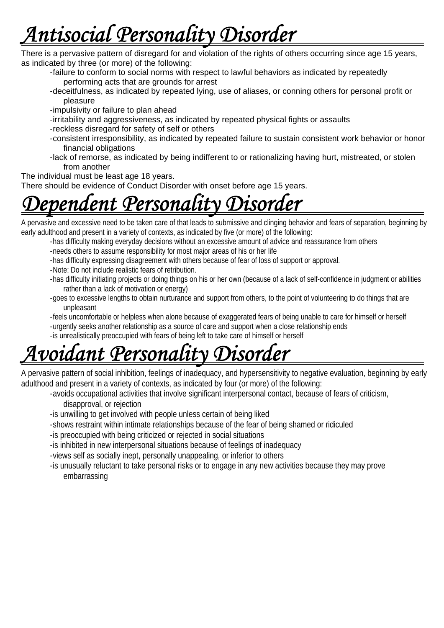# *Antisocial Personality Disorder*

There is a pervasive pattern of disregard for and violation of the rights of others occurring since age 15 years, as indicated by three (or more) of the following:

- failure to conform to social norms with respect to lawful behaviors as indicated by repeatedly performing acts that are grounds for arrest
- deceitfulness, as indicated by repeated lying, use of aliases, or conning others for personal profit or pleasure

- impulsivity or failure to plan ahead

- irritability and aggressiveness, as indicated by repeated physical fights or assaults

- reckless disregard for safety of self or others

- consistent irresponsibility, as indicated by repeated failure to sustain consistent work behavior or honor financial obligations
- lack of remorse, as indicated by being indifferent to or rationalizing having hurt, mistreated, or stolen from another

The individual must be least age 18 years.

There should be evidence of Conduct Disorder with onset before age 15 years.

### *Dependent Personality Disorder*

A pervasive and excessive need to be taken care of that leads to submissive and clinging behavior and fears of separation, beginning by early adulthood and present in a variety of contexts, as indicated by five (or more) of the following:

- -has difficulty making everyday decisions without an excessive amount of advice and reassurance from others
- -needs others to assume responsibility for most major areas of his or her life
- -has difficulty expressing disagreement with others because of fear of loss of support or approval.
- -Note: Do not include realistic fears of retribution.
- -has difficulty initiating projects or doing things on his or her own (because of a lack of self-confidence in judgment or abilities rather than a lack of motivation or energy)
- -goes to excessive lengths to obtain nurturance and support from others, to the point of volunteering to do things that are unpleasant
- -feels uncomfortable or helpless when alone because of exaggerated fears of being unable to care for himself or herself -urgently seeks another relationship as a source of care and support when a close relationship ends
- -is unrealistically preoccupied with fears of being left to take care of himself or herself

# *Avoidant Personality Disorder*

A pervasive pattern of social inhibition, feelings of inadequacy, and hypersensitivity to negative evaluation, beginning by early adulthood and present in a variety of contexts, as indicated by four (or more) of the following:

- -avoids occupational activities that involve significant interpersonal contact, because of fears of criticism, disapproval, or rejection
- -is unwilling to get involved with people unless certain of being liked
- -shows restraint within intimate relationships because of the fear of being shamed or ridiculed
- -is preoccupied with being criticized or rejected in social situations

-is inhibited in new interpersonal situations because of feelings of inadequacy

- -views self as socially inept, personally unappealing, or inferior to others
- -is unusually reluctant to take personal risks or to engage in any new activities because they may prove embarrassing